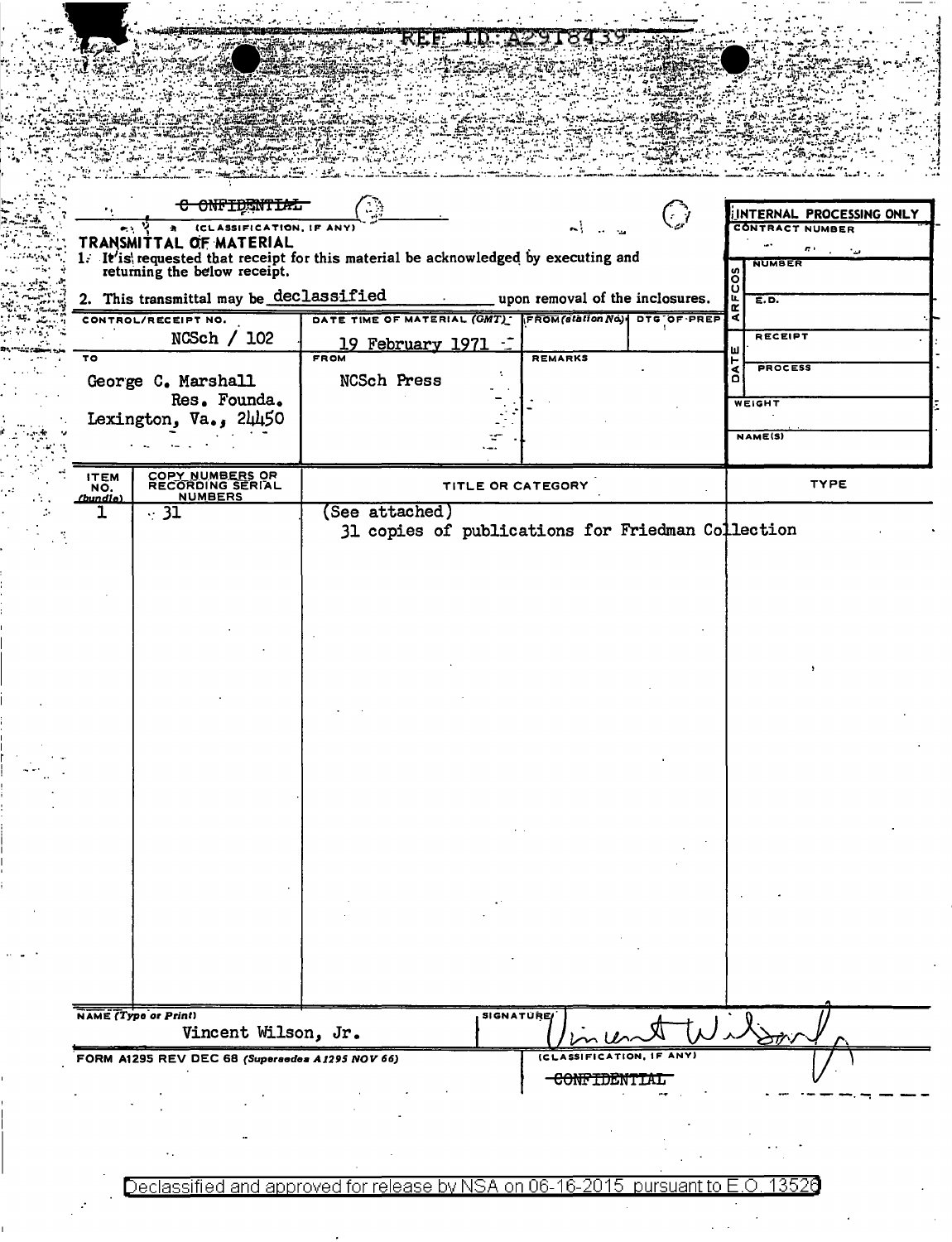|                    |                                                 | 医尾二氯                                                                                                            |                                      |                             |                    |                          |  |
|--------------------|-------------------------------------------------|-----------------------------------------------------------------------------------------------------------------|--------------------------------------|-----------------------------|--------------------|--------------------------|--|
|                    |                                                 |                                                                                                                 |                                      |                             |                    |                          |  |
|                    |                                                 |                                                                                                                 |                                      |                             |                    |                          |  |
|                    |                                                 |                                                                                                                 |                                      |                             |                    |                          |  |
|                    |                                                 |                                                                                                                 |                                      |                             |                    |                          |  |
|                    |                                                 |                                                                                                                 |                                      |                             |                    |                          |  |
|                    |                                                 |                                                                                                                 |                                      |                             |                    |                          |  |
|                    |                                                 |                                                                                                                 |                                      |                             |                    |                          |  |
|                    | <del>C ONFIDENTIAL</del>                        |                                                                                                                 |                                      | $\mathcal{F}^{\mathcal{A}}$ |                    | INTERNAL PROCESSING ONLY |  |
|                    | (CLASSIFICATION, IF ANY)                        |                                                                                                                 | $\mathbf{A}$                         |                             |                    | <b>CONTRACT NUMBER</b>   |  |
|                    | TRANSMITTAL OF MATERIAL                         |                                                                                                                 |                                      |                             |                    | n.                       |  |
|                    |                                                 | 1. It'is requested that receipt for this material be acknowledged by executing and returning the below receipt. |                                      |                             |                    | <b>NUMBER</b>            |  |
|                    | 2. This transmittal may be declassified         | <b>Contract Contract</b>                                                                                        | ____ upon removal of the inclosures. |                             | $F\overline{COS}$  | E.D.                     |  |
|                    | CONTROL/RECEIPT NO.                             | DATE TIME OF MATERIAL (GMT) FROM (station No)   DTG OF PREP                                                     |                                      |                             | $\frac{\alpha}{4}$ |                          |  |
|                    | NCSch / 102                                     | 19 February 1971 -                                                                                              |                                      |                             |                    | RECEIPT                  |  |
| τo                 |                                                 | <b>FROM</b>                                                                                                     | <b>REMARKS</b>                       |                             | ш<br>۳             |                          |  |
|                    | George C. Marshall                              | NCSch Press                                                                                                     |                                      |                             | ă                  | <b>PROCESS</b>           |  |
|                    | Res. Founda.                                    |                                                                                                                 |                                      |                             |                    | <b>WEIGHT</b>            |  |
|                    | Lexington, $Va_{\bullet}$ , $2\mu\mu$ 50        |                                                                                                                 |                                      |                             |                    |                          |  |
|                    |                                                 |                                                                                                                 |                                      |                             |                    | <b>NAME(S)</b>           |  |
|                    |                                                 |                                                                                                                 |                                      |                             |                    |                          |  |
| <b>ITEM</b><br>NO. | COPY NUMBERS OR<br>RECORDING SERIAL             | TITLE OR CATEGORY                                                                                               |                                      |                             |                    | <b>TYPE</b>              |  |
| (bundle)           | <b>NUMBERS</b>                                  |                                                                                                                 |                                      |                             |                    |                          |  |
| ı.                 | $\cdot$ 31                                      | (See attached)<br>31 copies of publications for Friedman Collection                                             |                                      |                             |                    |                          |  |
|                    |                                                 |                                                                                                                 |                                      |                             |                    |                          |  |
|                    |                                                 |                                                                                                                 |                                      |                             |                    |                          |  |
|                    |                                                 |                                                                                                                 |                                      |                             |                    |                          |  |
|                    |                                                 |                                                                                                                 |                                      |                             |                    |                          |  |
|                    |                                                 |                                                                                                                 |                                      |                             |                    |                          |  |
|                    |                                                 |                                                                                                                 |                                      |                             |                    |                          |  |
|                    |                                                 |                                                                                                                 |                                      |                             |                    |                          |  |
|                    | NAME (Type or Print)<br>Vincent Wilson, Jr.     | SIGNATURE                                                                                                       |                                      | t』)人                        |                    |                          |  |
|                    | FORM A1295 REV DEC 68 (Supersedes A1295 NOV 66) |                                                                                                                 | (CLASSIFICATION, IF ANY              |                             |                    |                          |  |
|                    |                                                 |                                                                                                                 | <del>CONFIDENT</del>                 |                             |                    |                          |  |

j.

Declassified and approved for release by NSA on 06-16-2015 pursuant to E.O. 13526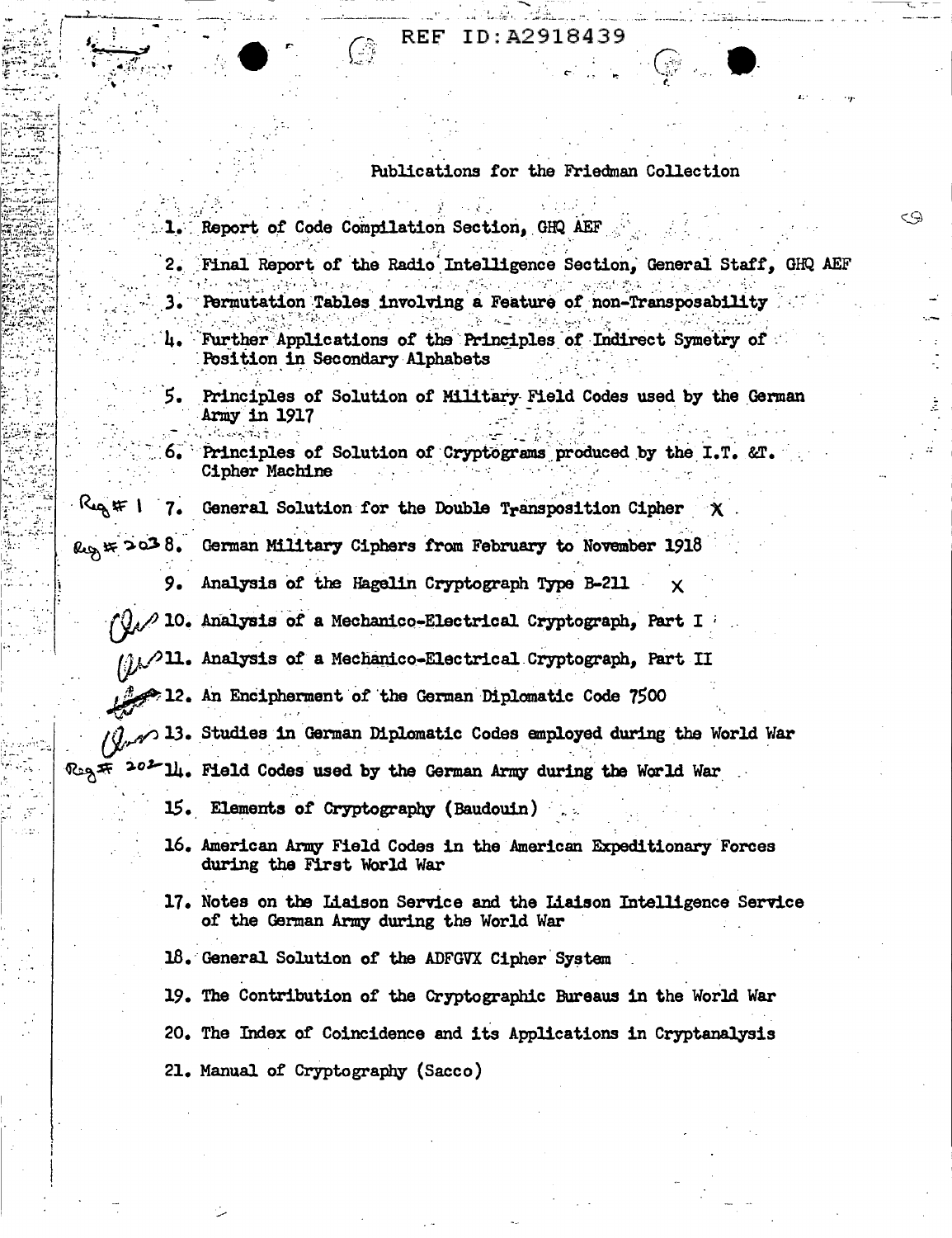## ID:A2918439 REF

Publications for the Friedman Collection

 $\binom{m}{k}$ 

X

<9

- Report of Code Compilation Section, GHQ AEF
- Final Report of the Radio Intelligence Section, General Staff, GHQ AEF  $\mathcal{L} \times \mathcal{L} \times \mathcal{L}$ **Algebra Service Pro** and the control of Permutation Tables involving a Feature of non-Transposability 3∙∵
- Further Applications of the Principles of Indirect Symetry of 4. Position in Secondary Alphabets
- 5. Principles of Solution of Military Field Codes used by the German Army in 1917
- Principles of Solution of Cryptograms produced by the I.T. &T. 6. Cipher Machine
- General Solution for the Double Transposition Cipher
- German Military Ciphers from February to November 1918  $log#2038$ .
	- Analysis of the Hagelin Cryptograph Type B-211 9.
	- 10. Analysis of a Mechanico-Electrical Cryptograph, Part I
	- (i) 21. Analysis of a Mechanico-Electrical Cryptograph, Part II
		- > 12. An Encipherment of the German Diplomatic Code 7500
- $\gamma$   $\sim$  13. Studies in German Diplomatic Codes employed during the World War  $\Re$  202
	- 14. Field Codes used by the German Army during the World War
	- 15. Elements of Cryptography (Baudouin)
	- 16. American Army Field Codes in the American Expeditionary Forces during the First World War
	- 17. Notes on the Liaison Service and the Liaison Intelligence Service of the German Army during the World War
	- 18. General Solution of the ADFGVX Cipher System
	- 19. The Contribution of the Cryptographic Bureaus in the World War 20. The Index of Coincidence and its Applications in Cryptanalysis 21. Manual of Cryptography (Sacco)